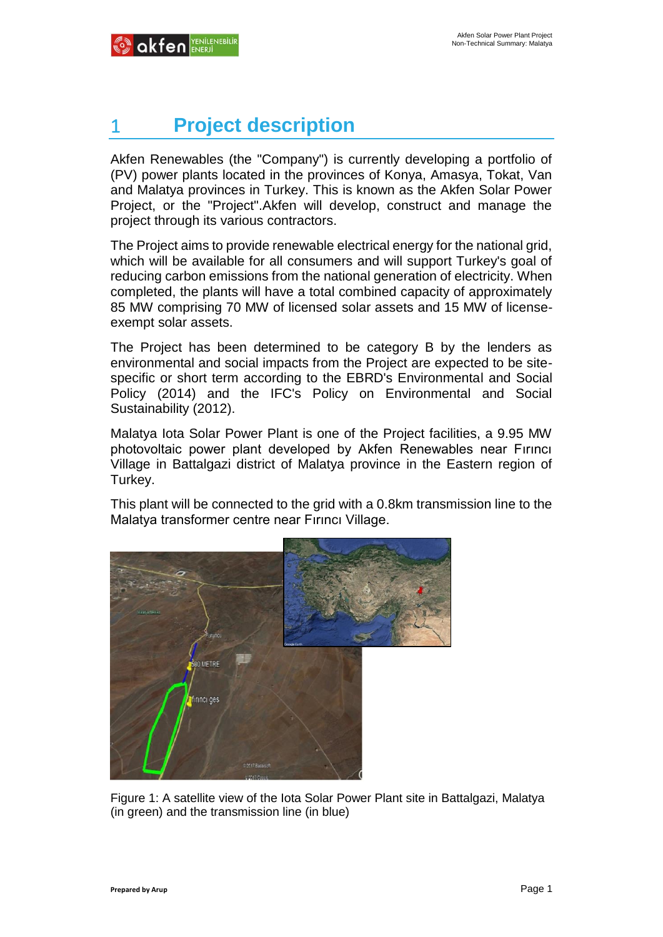# 1 **Project description**

Akfen Renewables (the "Company") is currently developing a portfolio of (PV) power plants located in the provinces of Konya, Amasya, Tokat, Van and Malatya provinces in Turkey. This is known as the Akfen Solar Power Project, or the "Project".Akfen will develop, construct and manage the project through its various contractors.

The Project aims to provide renewable electrical energy for the national grid, which will be available for all consumers and will support Turkey's goal of reducing carbon emissions from the national generation of electricity. When completed, the plants will have a total combined capacity of approximately 85 MW comprising 70 MW of licensed solar assets and 15 MW of licenseexempt solar assets.

The Project has been determined to be category B by the lenders as environmental and social impacts from the Project are expected to be sitespecific or short term according to the EBRD's Environmental and Social Policy (2014) and the IFC's Policy on Environmental and Social Sustainability (2012).

Malatya Iota Solar Power Plant is one of the Project facilities, a 9.95 MW photovoltaic power plant developed by Akfen Renewables near Fırıncı Village in Battalgazi district of Malatya province in the Eastern region of Turkey.

This plant will be connected to the grid with a 0.8km transmission line to the Malatya transformer centre near Fırıncı Village.



Figure 1: A satellite view of the Iota Solar Power Plant site in Battalgazi, Malatya (in green) and the transmission line (in blue)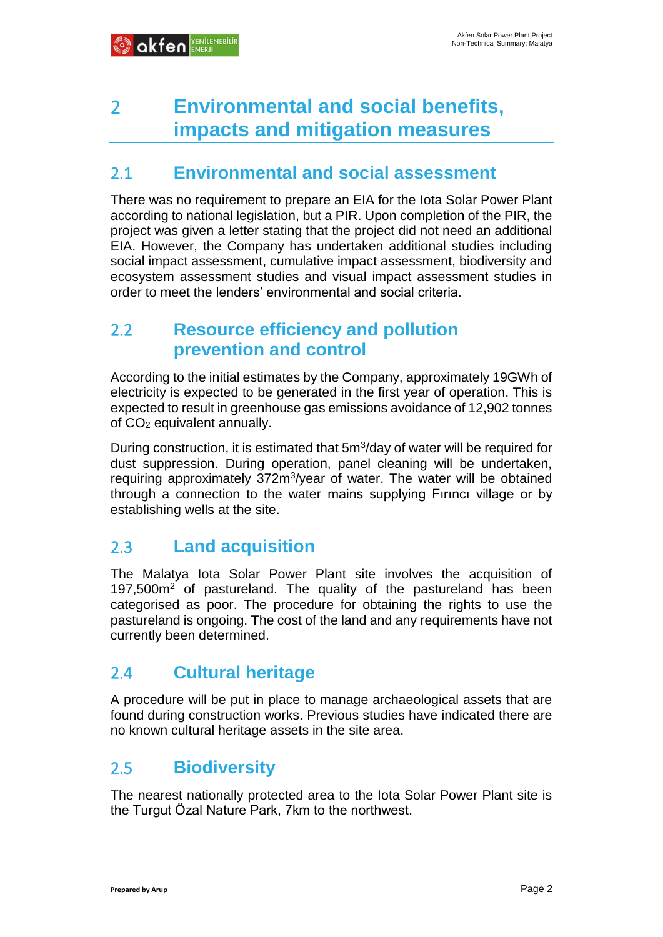## 2 **Environmental and social benefits, impacts and mitigation measures**

#### 2.1 **Environmental and social assessment**

There was no requirement to prepare an EIA for the Iota Solar Power Plant according to national legislation, but a PIR. Upon completion of the PIR, the project was given a letter stating that the project did not need an additional EIA. However, the Company has undertaken additional studies including social impact assessment, cumulative impact assessment, biodiversity and ecosystem assessment studies and visual impact assessment studies in order to meet the lenders' environmental and social criteria.

#### 2.2 **Resource efficiency and pollution prevention and control**

According to the initial estimates by the Company, approximately 19GWh of electricity is expected to be generated in the first year of operation. This is expected to result in greenhouse gas emissions avoidance of 12,902 tonnes of CO<sup>2</sup> equivalent annually.

During construction, it is estimated that 5m<sup>3</sup>/day of water will be required for dust suppression. During operation, panel cleaning will be undertaken, requiring approximately 372m<sup>3</sup>/year of water. The water will be obtained through a connection to the water mains supplying Fırıncı village or by establishing wells at the site.

#### 2.3 **Land acquisition**

The Malatya Iota Solar Power Plant site involves the acquisition of 197,500m<sup>2</sup> of pastureland. The quality of the pastureland has been categorised as poor. The procedure for obtaining the rights to use the pastureland is ongoing. The cost of the land and any requirements have not currently been determined.

#### 2.4 **Cultural heritage**

A procedure will be put in place to manage archaeological assets that are found during construction works. Previous studies have indicated there are no known cultural heritage assets in the site area.

#### 2.5 **Biodiversity**

The nearest nationally protected area to the Iota Solar Power Plant site is the Turgut Özal Nature Park, 7km to the northwest.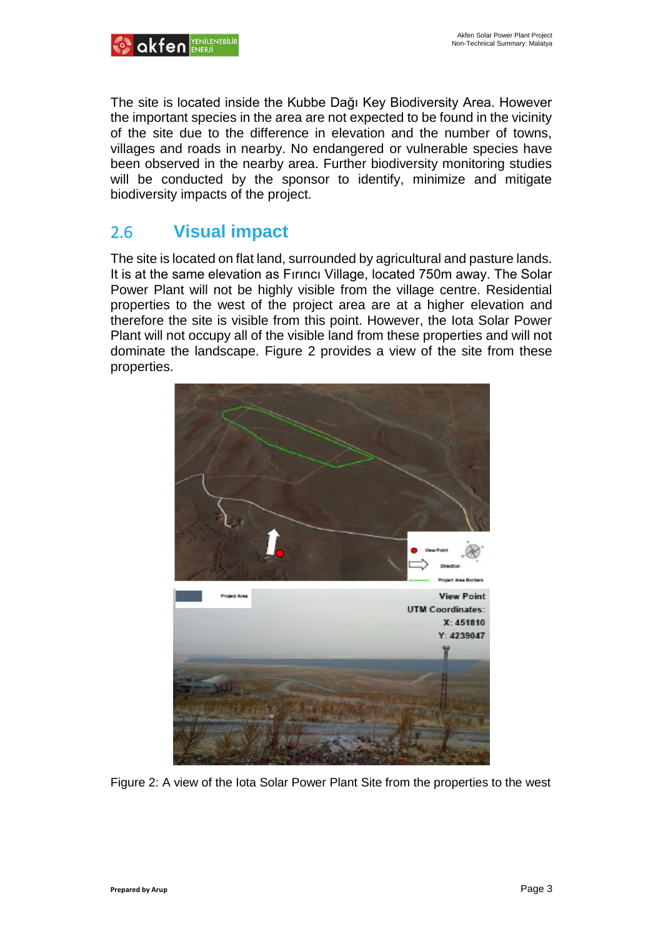

The site is located inside the Kubbe Dağı Key Biodiversity Area. However the important species in the area are not expected to be found in the vicinity of the site due to the difference in elevation and the number of towns, villages and roads in nearby. No endangered or vulnerable species have been observed in the nearby area. Further biodiversity monitoring studies will be conducted by the sponsor to identify, minimize and mitigate biodiversity impacts of the project.

#### 2.6 **Visual impact**

The site is located on flat land, surrounded by agricultural and pasture lands. It is at the same elevation as Fırıncı Village, located 750m away. The Solar Power Plant will not be highly visible from the village centre. Residential properties to the west of the project area are at a higher elevation and therefore the site is visible from this point. However, the Iota Solar Power Plant will not occupy all of the visible land from these properties and will not dominate the landscape. [Figure 2](#page-2-0) provides a view of the site from these properties.



<span id="page-2-0"></span>Figure 2: A view of the Iota Solar Power Plant Site from the properties to the west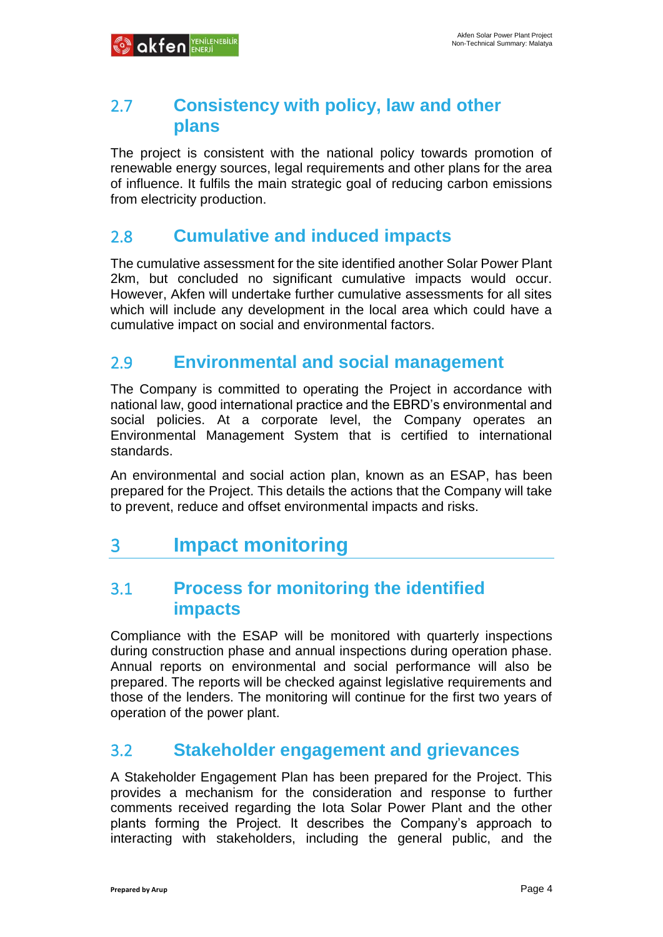

#### 2.7 **Consistency with policy, law and other plans**

The project is consistent with the national policy towards promotion of renewable energy sources, legal requirements and other plans for the area of influence. It fulfils the main strategic goal of reducing carbon emissions from electricity production.

#### 2.8 **Cumulative and induced impacts**

The cumulative assessment for the site identified another Solar Power Plant 2km, but concluded no significant cumulative impacts would occur. However, Akfen will undertake further cumulative assessments for all sites which will include any development in the local area which could have a cumulative impact on social and environmental factors.

#### 2.9 **Environmental and social management**

The Company is committed to operating the Project in accordance with national law, good international practice and the EBRD's environmental and social policies. At a corporate level, the Company operates an Environmental Management System that is certified to international standards.

An environmental and social action plan, known as an ESAP, has been prepared for the Project. This details the actions that the Company will take to prevent, reduce and offset environmental impacts and risks.

### 3 **Impact monitoring**

#### 3.1 **Process for monitoring the identified impacts**

Compliance with the ESAP will be monitored with quarterly inspections during construction phase and annual inspections during operation phase. Annual reports on environmental and social performance will also be prepared. The reports will be checked against legislative requirements and those of the lenders. The monitoring will continue for the first two years of operation of the power plant.

#### 3.2 **Stakeholder engagement and grievances**

A Stakeholder Engagement Plan has been prepared for the Project. This provides a mechanism for the consideration and response to further comments received regarding the Iota Solar Power Plant and the other plants forming the Project. It describes the Company's approach to interacting with stakeholders, including the general public, and the